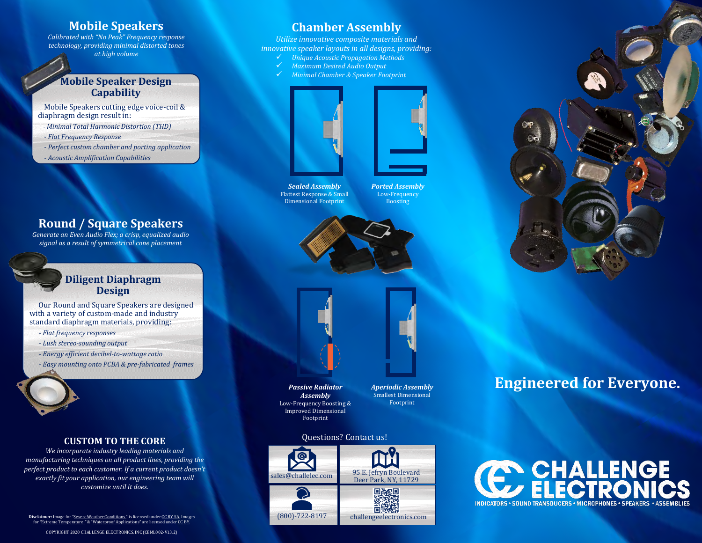### **Mobile Speakers**

*Calibrated with "No Peak" Frequency response technology, providing minimal distorted tones at high volume*

### **Mobile Speaker Design Capability**

Mobile Speakers cutting edge voice-coil & diaphragm design result in:

*- Minimal Total Harmonic Distortion (THD)*

- *- Flat Frequency Response*
- *- Perfect custom chamber and porting application*
- *- Acoustic Amplification Capabilities*

# **Round / Square Speakers**

*Generate an Even Audio Flex; a crisp, equalized audio signal as a result of symmetrical cone placement*

### **Diligent Diaphragm Design**

Our Round and Square Speakers are designed with a variety of custom-made and industry standard diaphragm materials, providing:

- *- Flat frequency responses*
- *- Lush stereo-sounding output*
- *- Energy efficient decibel-to-wattage ratio*
- *- Easy mounting onto PCBA & pre-fabricated frames*

#### **CUSTOM TO THE CORE**

*We incorporate industry leading materials and manufacturing techniques on all product lines, providing the perfect product to each customer. If a current product doesn't exactly fit your application, our engineering team will customize until it does.*

**Disclaimer:** Image for "[Severe Weather Conditions](https://en.wikipedia.org/wiki/Hurricane_Alex_(2004)) " is licensed unde[r CC BY-SA.](https://creativecommons.org/licenses/by-sa/3.0/) Images for *"*[Extreme Temperature](https://robliano.wordpress.com/2011/01/24/fund-raising-your-sales/) *"* & "[Waterproof Applications](http://www.baluart.net/articulo/como-reparar-un-celular-mojado-video)" are licensed unde[r CC BY.](https://creativecommons.org/licenses/by/3.0/)

## **Chamber Assembly**

*Utilize innovative composite materials and innovative speaker layouts in all designs, providing:*

- ✓ *Unique Acoustic Propagation Methods*
- ✓ *Maximum Desired Audio Output*
- ✓ *Minimal Chamber & Speaker Footprint*



*Sealed Assembly* Flattest Response & Small Dimensional Footprint

*Ported Assembly* Low-Frequency Boosting



*Passive Radiator Assembly* Low-Frequency Boosting & Improved Dimensional

*Aperiodic Assembly* Smallest Dimensional Footprint

#### Questions? Contact us!

Footprint





**Engineered for Everyone.**

INDICATORS . SOUND TRANSDUCERS . MICROPHONES . SPEAKERS . ASSEN